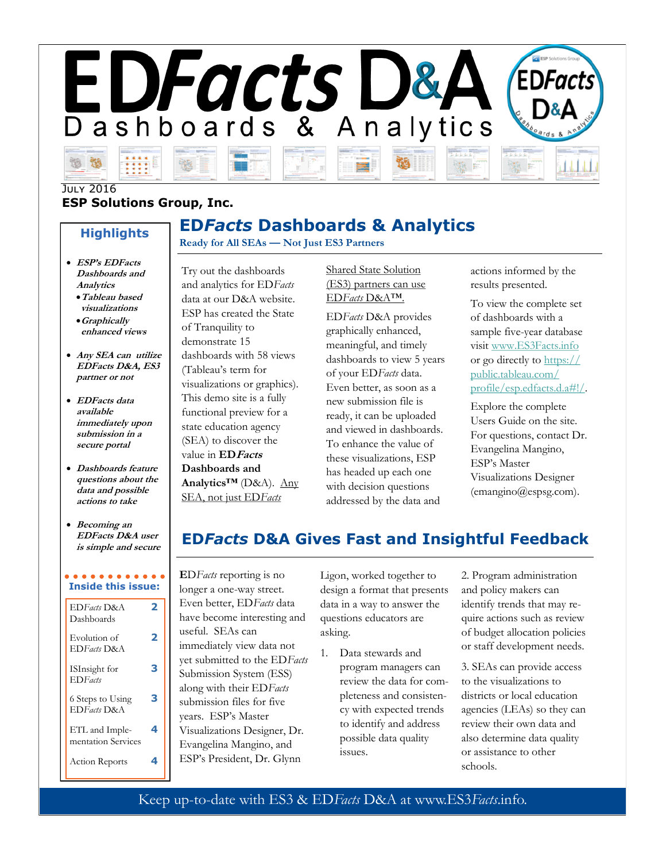

**ED***Facts* **Dashboards & Analytics**

#### **ESP Solutions Group, Inc. JULY 2016**

#### **Highlights**

- **ESP's EDFacts Dashboards and Analytics**
- •**Tableau based visualizations**
- •**Graphically enhanced views**
- **Any SEA can utilize EDFacts D&A, ES3 partner or not**
- **EDFacts data available immediately upon submission in a secure portal**
- **Dashboards feature questions about the data and possible actions to take**
- **Becoming an EDFacts D&A user is simple and secure**

# **Inside this issue:**

| EDFacts D&A<br>Dashboards               |   |
|-----------------------------------------|---|
| Evolution of<br>EDFacts D&A             | 7 |
| ISInsight for<br><b>ED</b> <i>Facts</i> | e |
| 6 Steps to Using<br>EDFacts D&A         | B |
| ETL and Imple-<br>mentation Services    |   |
| <b>Action Reports</b>                   |   |

#### Try out the dashboards and analytics for ED*Facts*  data at our D&A website. ESP has created the State of Tranquility to demonstrate 15 dashboards with 58 views (Tableau's term for

**Ready for All SEAs — Not Just ES3 Partners**

visualizations or graphics). This demo site is a fully functional preview for a state education agency (SEA) to discover the value in **EDFacts Dashboards and Analytics™** (D&A). Any SEA, not just ED*Facts* 

Shared State Solution (ES3) partners can use ED*Facts* D&A™.

ED*Facts* D&A provides graphically enhanced, meaningful, and timely dashboards to view 5 years of your ED*Facts* data. Even better, as soon as a new submission file is ready, it can be uploaded and viewed in dashboards. To enhance the value of these visualizations, ESP has headed up each one with decision questions addressed by the data and

actions informed by the results presented.

To view the complete set of dashboards with a sample five-year database visit [www.ES3Facts.info](http://www.ES3Facts.info) or go directly to [https://](https://public.tableau.com/profile/esp.edfacts.d.a#!/) [public.tableau.com/](https://public.tableau.com/profile/esp.edfacts.d.a#!/) [profile/esp.edfacts.d.a#!/.](https://public.tableau.com/profile/esp.edfacts.d.a#!/)

Explore the complete Users Guide on the site. For questions, contact Dr. Evangelina Mangino, ESP's Master Visualizations Designer (emangino@espsg.com).

# **ED***Facts* **D&A Gives Fast and Insightful Feedback**

**E**D*Facts* reporting is no longer a one-way street. Even better, ED*Facts* data have become interesting and useful. SEAs can immediately view data not yet submitted to the ED*Facts* Submission System (ESS) along with their ED*Facts*  submission files for five years. ESP's Master Visualizations Designer, Dr. Evangelina Mangino, and ESP's President, Dr. Glynn

Ligon, worked together to design a format that presents data in a way to answer the questions educators are asking.

1. Data stewards and program managers can review the data for completeness and consistency with expected trends to identify and address possible data quality issues.

2. Program administration and policy makers can identify trends that may require actions such as review of budget allocation policies or staff development needs.

3. SEAs can provide access to the visualizations to districts or local education agencies (LEAs) so they can review their own data and also determine data quality or assistance to other schools.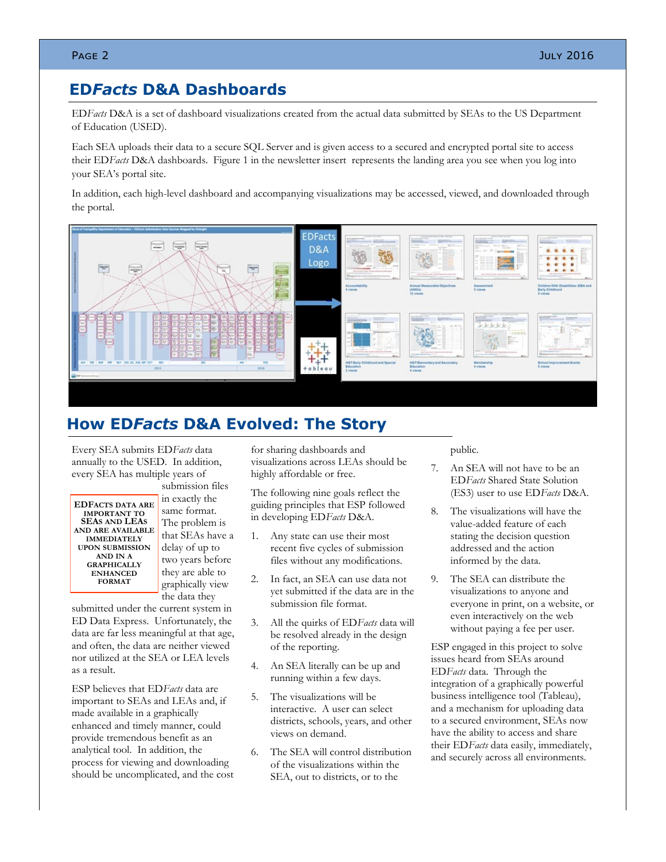## **ED***Facts* **D&A Dashboards**

ED*Facts* D&A is a set of dashboard visualizations created from the actual data submitted by SEAs to the US Department of Education (USED).

Each SEA uploads their data to a secure SQL Server and is given access to a secured and encrypted portal site to access their ED*Facts* D&A dashboards. Figure 1 in the newsletter insert represents the landing area you see when you log into your SEA's portal site.

In addition, each high-level dashboard and accompanying visualizations may be accessed, viewed, and downloaded through the portal.



# **How ED***Facts* **D&A Evolved: The Story**

Every SEA submits ED*Facts* data annually to the USED. In addition, every SEA has multiple years of

**EDFACTS DATA ARE IMPORTANT TO SEAS AND LEAS AND ARE AVAILABLE IMMEDIATELY UPON SUBMISSION AND IN A GRAPHICALLY ENHANCED FORMAT**

submission files in exactly the same format. The problem is that SEAs have a delay of up to two years before they are able to graphically view the data they

submitted under the current system in ED Data Express. Unfortunately, the data are far less meaningful at that age, and often, the data are neither viewed nor utilized at the SEA or LEA levels as a result.

ESP believes that ED*Facts* data are important to SEAs and LEAs and, if made available in a graphically enhanced and timely manner, could provide tremendous benefit as an analytical tool. In addition, the process for viewing and downloading should be uncomplicated, and the cost for sharing dashboards and visualizations across LEAs should be highly affordable or free.

The following nine goals reflect the guiding principles that ESP followed in developing ED*Facts* D&A.

- 1. Any state can use their most recent five cycles of submission files without any modifications.
- 2. In fact, an SEA can use data not yet submitted if the data are in the submission file format.
- 3. All the quirks of ED*Facts* data will be resolved already in the design of the reporting.
- 4. An SEA literally can be up and running within a few days.
- 5. The visualizations will be interactive. A user can select districts, schools, years, and other views on demand.
- 6. The SEA will control distribution of the visualizations within the SEA, out to districts, or to the

public.

- 7. An SEA will not have to be an ED*Facts* Shared State Solution (ES3) user to use ED*Facts* D&A.
- 8. The visualizations will have the value-added feature of each stating the decision question addressed and the action informed by the data.
- 9. The SEA can distribute the visualizations to anyone and everyone in print, on a website, or even interactively on the web without paying a fee per user.

ESP engaged in this project to solve issues heard from SEAs around ED*Facts* data. Through the integration of a graphically powerful business intelligence tool (Tableau), and a mechanism for uploading data to a secured environment, SEAs now have the ability to access and share their ED*Facts* data easily, immediately, and securely across all environments.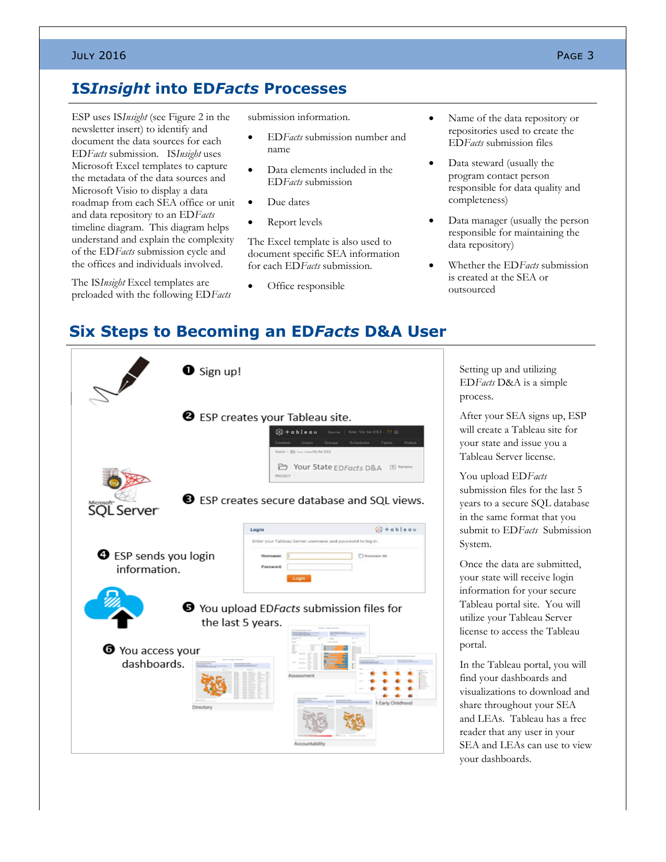#### July 2016  $\,$  Page 3  $\,$

## **IS***Insight* **into ED***Facts* **Processes**

ESP uses IS*Insight* (see Figure 2 in the newsletter insert) to identify and document the data sources for each ED*Facts* submission. IS*Insight* uses Microsoft Excel templates to capture the metadata of the data sources and Microsoft Visio to display a data roadmap from each SEA office or unit and data repository to an ED*Facts* timeline diagram. This diagram helps understand and explain the complexity of the ED*Facts* submission cycle and the offices and individuals involved.

The IS*Insight* Excel templates are preloaded with the following ED*Facts* submission information.

- ED*Facts* submission number and name
- Data elements included in the ED*Facts* submission
- Due dates
- Report levels

The Excel template is also used to document specific SEA information for each ED*Facts* submission.

Office responsible

- Name of the data repository or repositories used to create the ED*Facts* submission files
- Data steward (usually the program contact person responsible for data quality and completeness)
- Data manager (usually the person responsible for maintaining the data repository)
- Whether the ED*Facts* submission is created at the SEA or outsourced

# **Six Steps to Becoming an ED***Facts* **D&A User**

| $\bullet$ Sign up!<br>$\mathscr{P}$                                                                                                                               |                                                                                                                                         |  |
|-------------------------------------------------------------------------------------------------------------------------------------------------------------------|-----------------------------------------------------------------------------------------------------------------------------------------|--|
| <b>2</b> ESP creates your Tableau site.<br>※+obleau<br>Site: Viz for ES = 77 (c)<br>Server  <br>Users.<br>Schedules<br>Tasks<br>Status                            |                                                                                                                                         |  |
| Home > Ph Your State Viz for ES3<br>← Your State EDFacts D&A<br>$T$ Rename<br>PROJECT<br><b>B</b> ESP creates secure database and SQL views.<br><b>SQL</b> Server |                                                                                                                                         |  |
| <b>O</b> ESP sends you login<br>information.                                                                                                                      | $+b + ab$ leou<br>Login<br>Enter your Tableau Server usemame and password to log in.<br>Username:<br>Renomber Me<br>Password:<br>Login- |  |
| <b>●</b> You upload EDFacts submission files for<br>the last 5 years.                                                                                             |                                                                                                                                         |  |
| O You access your<br>dashboards.<br>Directory                                                                                                                     | Assessment<br>Accountability                                                                                                            |  |

Setting up and utilizing ED*Facts* D&A is a simple process.

After your SEA signs up, ESP will create a Tableau site for your state and issue you a Tableau Server license.

You upload ED*Facts*  submission files for the last 5 years to a secure SQL database in the same format that you submit to ED*Facts* Submission System.

Once the data are submitted, your state will receive login information for your secure Tableau portal site. You will utilize your Tableau Server license to access the Tableau portal.

In the Tableau portal, you will find your dashboards and visualizations to download and share throughout your SEA and LEAs. Tableau has a free reader that any user in your SEA and LEAs can use to view your dashboards.